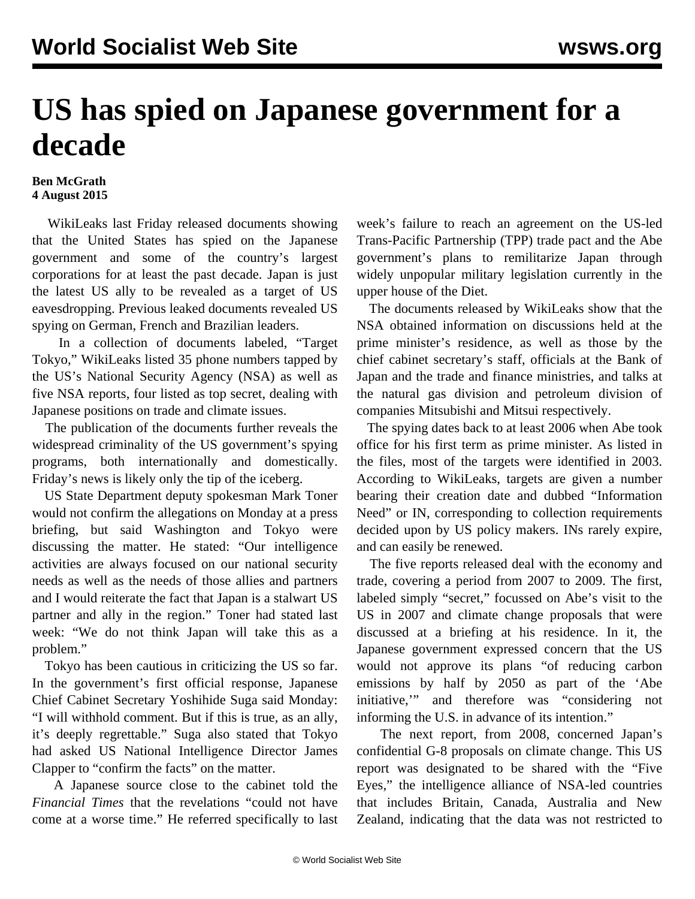## **US has spied on Japanese government for a decade**

## **Ben McGrath 4 August 2015**

 WikiLeaks last Friday released documents showing that the United States has spied on the Japanese government and some of the country's largest corporations for at least the past decade. Japan is just the latest US ally to be revealed as a target of US eavesdropping. Previous leaked documents revealed US spying on German, French and Brazilian leaders.

 In a collection of documents labeled, "Target Tokyo," WikiLeaks listed 35 phone numbers tapped by the US's National Security Agency (NSA) as well as five NSA reports, four listed as top secret, dealing with Japanese positions on trade and climate issues.

 The publication of the documents further reveals the widespread criminality of the US government's spying programs, both internationally and domestically. Friday's news is likely only the tip of the iceberg.

 US State Department deputy spokesman Mark Toner would not confirm the allegations on Monday at a press briefing, but said Washington and Tokyo were discussing the matter. He stated: "Our intelligence activities are always focused on our national security needs as well as the needs of those allies and partners and I would reiterate the fact that Japan is a stalwart US partner and ally in the region." Toner had stated last week: "We do not think Japan will take this as a problem."

 Tokyo has been cautious in criticizing the US so far. In the government's first official response, Japanese Chief Cabinet Secretary Yoshihide Suga said Monday: "I will withhold comment. But if this is true, as an ally, it's deeply regrettable." Suga also stated that Tokyo had asked US National Intelligence Director James Clapper to "confirm the facts" on the matter.

 A Japanese source close to the cabinet told the *Financial Times* that the revelations "could not have come at a worse time." He referred specifically to last week's [failure](/en/articles/2015/08/03/tppc-a03.html) to reach an agreement on the US-led Trans-Pacific Partnership (TPP) trade pact and the Abe government's plans to remilitarize Japan through widely unpopular military legislation currently in the upper house of the Diet.

 The documents released by WikiLeaks show that the NSA obtained information on discussions held at the prime minister's residence, as well as those by the chief cabinet secretary's staff, officials at the Bank of Japan and the trade and finance ministries, and talks at the natural gas division and petroleum division of companies Mitsubishi and Mitsui respectively.

 The spying dates back to at least 2006 when Abe took office for his first term as prime minister. As listed in the files, most of the targets were identified in 2003. According to WikiLeaks, targets are given a number bearing their creation date and dubbed "Information Need" or IN, corresponding to collection requirements decided upon by US policy makers. INs rarely expire, and can easily be renewed.

 The five reports released deal with the economy and trade, covering a period from 2007 to 2009. The first, labeled simply "secret," focussed on Abe's visit to the US in 2007 and climate change proposals that were discussed at a briefing at his residence. In it, the Japanese government expressed concern that the US would not approve its plans "of reducing carbon emissions by half by 2050 as part of the 'Abe initiative,'" and therefore was "considering not informing the U.S. in advance of its intention."

 The next report, from 2008, concerned Japan's confidential G-8 proposals on climate change. This US report was designated to be shared with the "Five Eyes," the intelligence alliance of NSA-led countries that includes Britain, Canada, Australia and New Zealand, indicating that the data was not restricted to